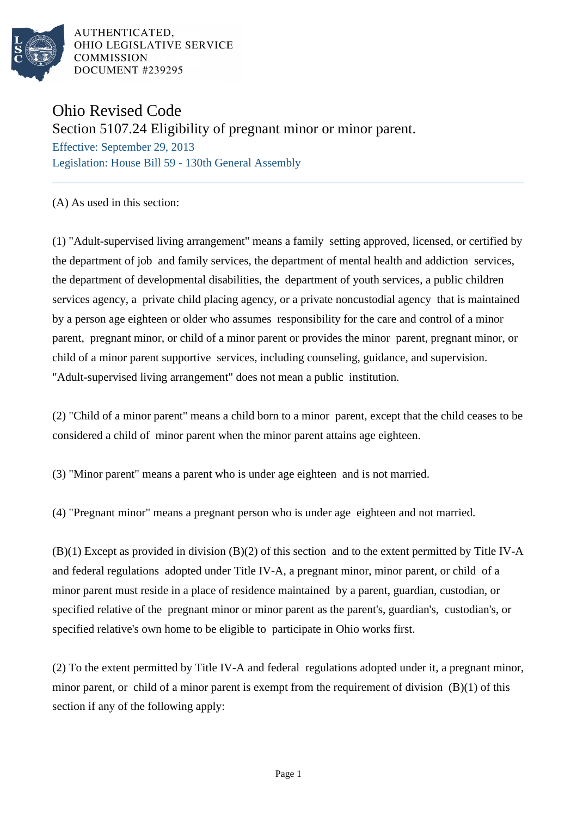

AUTHENTICATED, OHIO LEGISLATIVE SERVICE **COMMISSION** DOCUMENT #239295

## Ohio Revised Code Section 5107.24 Eligibility of pregnant minor or minor parent. Effective: September 29, 2013

Legislation: House Bill 59 - 130th General Assembly

(A) As used in this section:

(1) "Adult-supervised living arrangement" means a family setting approved, licensed, or certified by the department of job and family services, the department of mental health and addiction services, the department of developmental disabilities, the department of youth services, a public children services agency, a private child placing agency, or a private noncustodial agency that is maintained by a person age eighteen or older who assumes responsibility for the care and control of a minor parent, pregnant minor, or child of a minor parent or provides the minor parent, pregnant minor, or child of a minor parent supportive services, including counseling, guidance, and supervision. "Adult-supervised living arrangement" does not mean a public institution.

(2) "Child of a minor parent" means a child born to a minor parent, except that the child ceases to be considered a child of minor parent when the minor parent attains age eighteen.

(3) "Minor parent" means a parent who is under age eighteen and is not married.

(4) "Pregnant minor" means a pregnant person who is under age eighteen and not married.

(B)(1) Except as provided in division (B)(2) of this section and to the extent permitted by Title IV-A and federal regulations adopted under Title IV-A, a pregnant minor, minor parent, or child of a minor parent must reside in a place of residence maintained by a parent, guardian, custodian, or specified relative of the pregnant minor or minor parent as the parent's, guardian's, custodian's, or specified relative's own home to be eligible to participate in Ohio works first.

(2) To the extent permitted by Title IV-A and federal regulations adopted under it, a pregnant minor, minor parent, or child of a minor parent is exempt from the requirement of division (B)(1) of this section if any of the following apply: